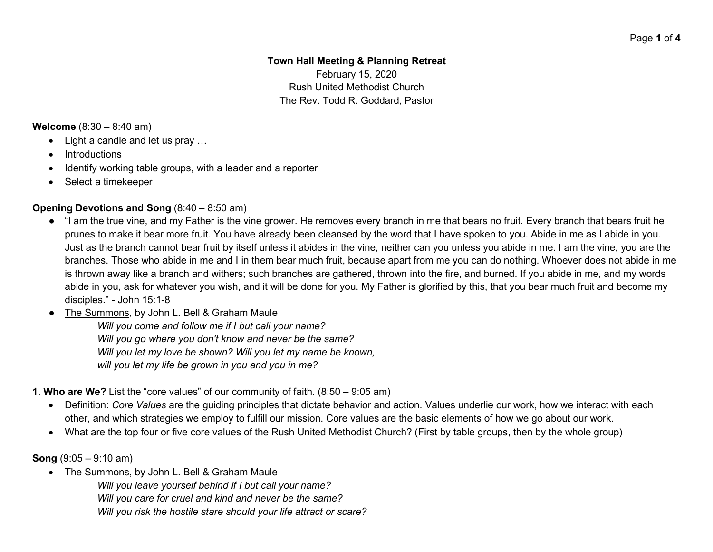#### Town Hall Meeting & Planning Retreat

February 15, 2020 Rush United Methodist Church The Rev. Todd R. Goddard, Pastor

Welcome (8:30 – 8:40 am)

- Light a candle and let us pray ...
- Introductions
- Identify working table groups, with a leader and a reporter
- Select a timekeeper

## Opening Devotions and Song (8:40 – 8:50 am)

- "I am the true vine, and my Father is the vine grower. He removes every branch in me that bears no fruit. Every branch that bears fruit he prunes to make it bear more fruit. You have already been cleansed by the word that I have spoken to you. Abide in me as I abide in you. Just as the branch cannot bear fruit by itself unless it abides in the vine, neither can you unless you abide in me. I am the vine, you are the branches. Those who abide in me and I in them bear much fruit, because apart from me you can do nothing. Whoever does not abide in me is thrown away like a branch and withers; such branches are gathered, thrown into the fire, and burned. If you abide in me, and my words abide in you, ask for whatever you wish, and it will be done for you. My Father is glorified by this, that you bear much fruit and become my disciples." - John 15:1-8
- The Summons, by John L. Bell & Graham Maule

Will you come and follow me if I but call your name? Will you go where you don't know and never be the same? Will you let my love be shown? Will you let my name be known, will you let my life be grown in you and you in me?

**1. Who are We?** List the "core values" of our community of faith.  $(8:50 - 9:05)$  am)

- Definition: Core Values are the guiding principles that dictate behavior and action. Values underlie our work, how we interact with each other, and which strategies we employ to fulfill our mission. Core values are the basic elements of how we go about our work.
- What are the top four or five core values of the Rush United Methodist Church? (First by table groups, then by the whole group)

Song (9:05 – 9:10 am)

- The Summons, by John L. Bell & Graham Maule
	- Will you leave yourself behind if I but call your name?
	- Will you care for cruel and kind and never be the same?
	- Will you risk the hostile stare should your life attract or scare?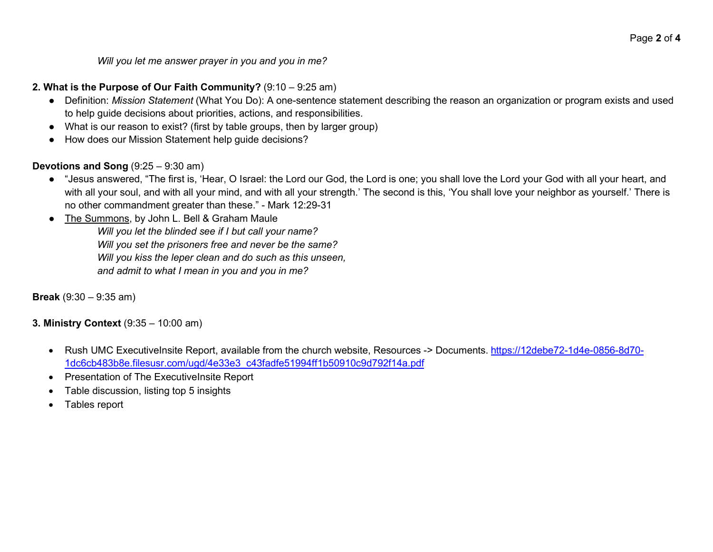Will you let me answer prayer in you and you in me?

## 2. What is the Purpose of Our Faith Community? (9:10 – 9:25 am)

- Definition: Mission Statement (What You Do): A one-sentence statement describing the reason an organization or program exists and used to help guide decisions about priorities, actions, and responsibilities.
- What is our reason to exist? (first by table groups, then by larger group)
- How does our Mission Statement help guide decisions?

## Devotions and Song (9:25 – 9:30 am)

- "Jesus answered, "The first is, 'Hear, O Israel: the Lord our God, the Lord is one; you shall love the Lord your God with all your heart, and with all your soul, and with all your mind, and with all your strength.' The second is this, 'You shall love your neighbor as yourself.' There is no other commandment greater than these." - Mark 12:29-31
- The Summons, by John L. Bell & Graham Maule Will you let the blinded see if I but call your name? Will you set the prisoners free and never be the same? Will you kiss the leper clean and do such as this unseen, and admit to what I mean in you and you in me?

**Break**  $(9:30 - 9:35)$  am

3. Ministry Context (9:35 – 10:00 am)

- Rush UMC ExecutiveInsite Report, available from the church website, Resources -> Documents. https://12debe72-1d4e-0856-8d70-1dc6cb483b8e.filesusr.com/ugd/4e33e3\_c43fadfe51994ff1b50910c9d792f14a.pdf
- Presentation of The ExecutiveInsite Report
- Table discussion, listing top 5 insights
- Tables report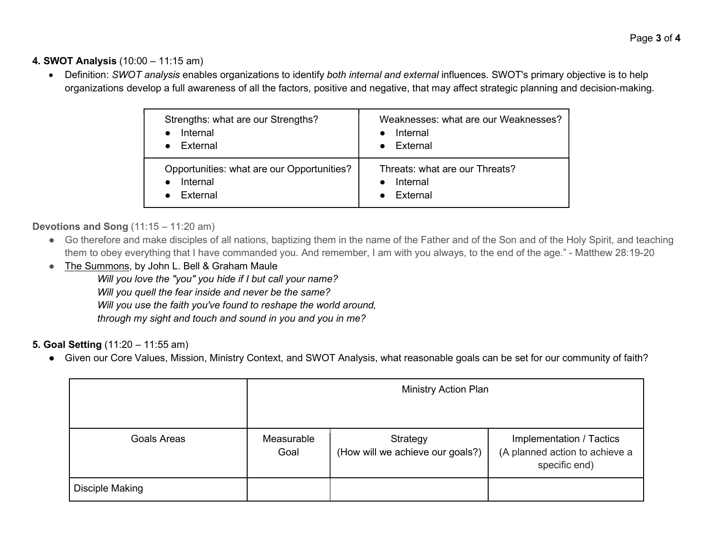## 4. SWOT Analysis (10:00 – 11:15 am)

• Definition: SWOT analysis enables organizations to identify both internal and external influences. SWOT's primary objective is to help organizations develop a full awareness of all the factors, positive and negative, that may affect strategic planning and decision-making.

| Strengths: what are our Strengths?         | Weaknesses: what are our Weaknesses? |
|--------------------------------------------|--------------------------------------|
| Internal                                   | Internal                             |
| $\bullet$ External                         | <b>External</b>                      |
| Opportunities: what are our Opportunities? | Threats: what are our Threats?       |
| Internal                                   | Internal                             |
| External                                   | <b>External</b>                      |

Devotions and Song (11:15 – 11:20 am)

- Go therefore and make disciples of all nations, baptizing them in the name of the Father and of the Son and of the Holy Spirit, and teaching them to obey everything that I have commanded you. And remember, I am with you always, to the end of the age." - Matthew 28:19-20
- The Summons, by John L. Bell & Graham Maule Will you love the "you" you hide if I but call your name? Will you quell the fear inside and never be the same? Will you use the faith you've found to reshape the world around, through my sight and touch and sound in you and you in me?

# 5. Goal Setting (11:20 – 11:55 am)

● Given our Core Values, Mission, Ministry Context, and SWOT Analysis, what reasonable goals can be set for our community of faith?

|                    | <b>Ministry Action Plan</b> |                                              |                                                                             |
|--------------------|-----------------------------|----------------------------------------------|-----------------------------------------------------------------------------|
| <b>Goals Areas</b> | Measurable<br>Goal          | Strategy<br>(How will we achieve our goals?) | Implementation / Tactics<br>(A planned action to achieve a<br>specific end) |
| Disciple Making    |                             |                                              |                                                                             |